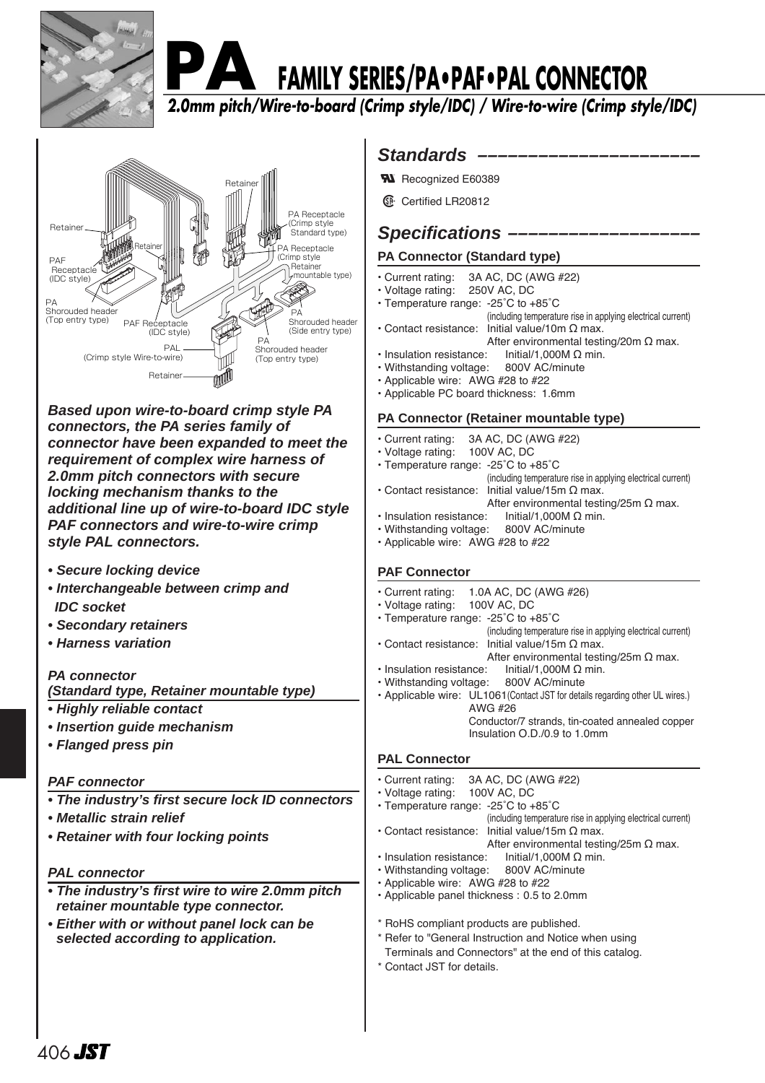

# **FAMILY SERIES/PA•PAF•PAL CONNECTOR**

**2.0mm pitch/Wire-to-board (Crimp style/IDC) / Wire-to-wire (Crimp style/IDC)**



**Based upon wire-to-board crimp style PA connectors, the PA series family of connector have been expanded to meet the requirement of complex wire harness of 2.0mm pitch connectors with secure locking mechanism thanks to the additional line up of wire-to-board IDC style PAF connectors and wire-to-wire crimp style PAL connectors.**

- **Secure locking device**
- **Interchangeable between crimp and IDC socket**
- **Secondary retainers**
- **Harness variation**

## **PA connector**

**(Standard type, Retainer mountable type)**

- **Highly reliable contact**
- **Insertion guide mechanism**
- **Flanged press pin**

## **PAF connector**

- **The industry's first secure lock ID connectors**
- **Metallic strain relief**
- **Retainer with four locking points**

## **PAL connector**

- **The industry's first wire to wire 2.0mm pitch retainer mountable type connector.**
- **Either with or without panel lock can be selected according to application.**

## Standards –

- **N** Recognized E60389
- **1** Certified LR20812

## **Specifications –**

## **PA Connector (Standard type)**

- Current rating: 3A AC, DC (AWG #22)
- Voltage rating: 250V AC, DC
- Temperature range: -25˚C to +85˚C
- (including temperature rise in applying electrical current) • Contact resistance: Initial value/10m Ω max.
- After environmental testing/20m Ω max.<br>: lnitial/1.000M Ω min.
- Insulation resistance:
- Withstanding voltage: 800V AC/minute
- Applicable wire: AWG #28 to #22
- Applicable PC board thickness: 1.6mm

## **PA Connector (Retainer mountable type)**

- Current rating: 3A AC, DC (AWG #22)
- Voltage rating: 100V AC, DC
- Temperature range: -25˚C to +85˚C
- (including temperature rise in applying electrical current) • Contact resistance: Initial value/15m Ω max.
	- After environmental testing/25m  $\Omega$  max.
- Insulation resistance: Initial/1,000M Ω min. • Withstanding voltage: 800V AC/minute
- Applicable wire: AWG #28 to #22

## **PAF Connector**

| 1.0A AC, DC (AWG #26)<br>• Current rating:<br>• Voltage rating: 100V AC, DC   |
|-------------------------------------------------------------------------------|
| • Temperature range: -25°C to +85°C                                           |
| (including temperature rise in applying electrical current)                   |
| • Contact resistance: Initial value/15m $\Omega$ max.                         |
| After environmental testing/25m $\Omega$ max.                                 |
| • Insulation resistance: $Initial/1,000M \Omega$ min.                         |
| · Withstanding voltage: 800V AC/minute                                        |
| • Applicable wire: UL1061 (Contact JST for details regarding other UL wires.) |
| AWG #26                                                                       |
| Conductor/7 strands, tin-coated annealed copper                               |

Insulation O.D./0.9 to 1.0mm

## **PAL Connector**

| • Current rating: 3A AC, DC (AWG #22)<br>• Voltage rating: 100V AC, DC<br>• Temperature range: -25°C to +85°C<br>(including temperature rise in applying electrical current) |
|------------------------------------------------------------------------------------------------------------------------------------------------------------------------------|
| • Contact resistance: Initial value/15m $\Omega$ max.                                                                                                                        |
| After environmental testing/25m $\Omega$ max.                                                                                                                                |
| Initial/1,000M $\Omega$ min.<br>· Insulation resistance:                                                                                                                     |
| · Withstanding voltage: 800V AC/minute                                                                                                                                       |
| • Applicable wire: AWG #28 to #22                                                                                                                                            |
| • Applicable panel thickness: 0.5 to 2.0mm                                                                                                                                   |
|                                                                                                                                                                              |
| * RoHS compliant products are published.                                                                                                                                     |
| * Refer to "General Instruction and Notice when using                                                                                                                        |
| Terminals and Connectors" at the end of this catalog.                                                                                                                        |
| * Contact JST for details.                                                                                                                                                   |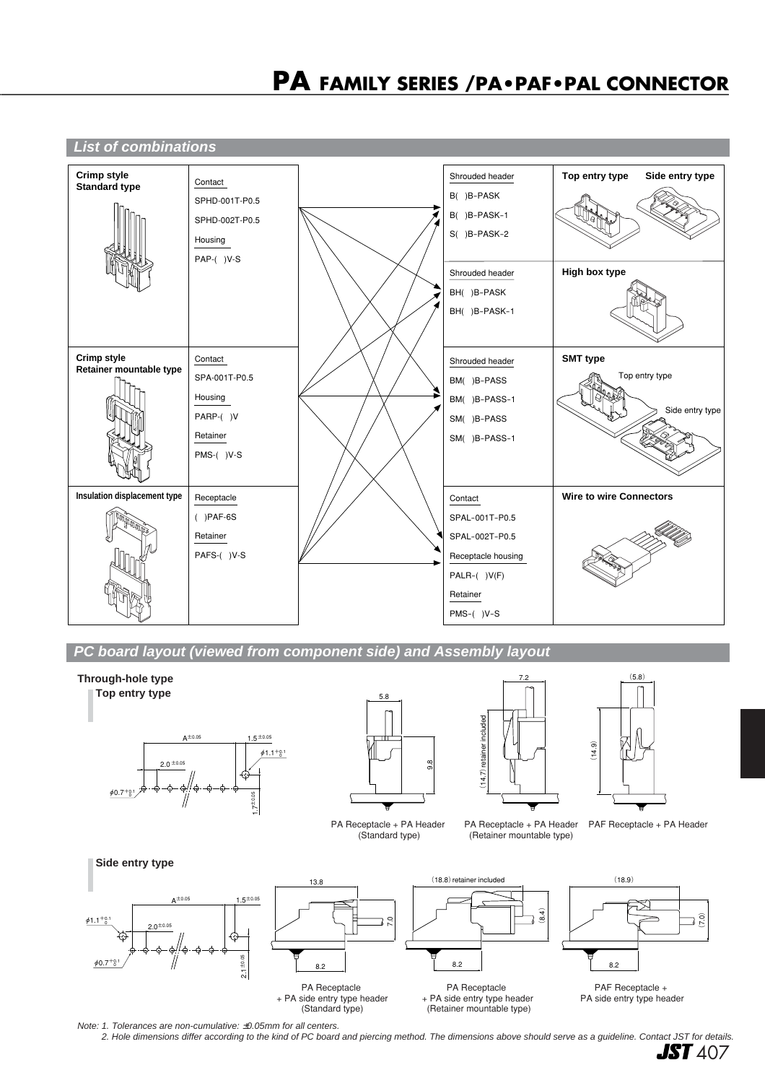

**PC board layout (viewed from component side) and Assembly layout**



Note: 1. Tolerances are non-cumulative: ±0.05mm for all centers.

2. Hole dimensions differ according to the kind of PC board and piercing method. The dimensions above should serve as a guideline. Contact JST for details.

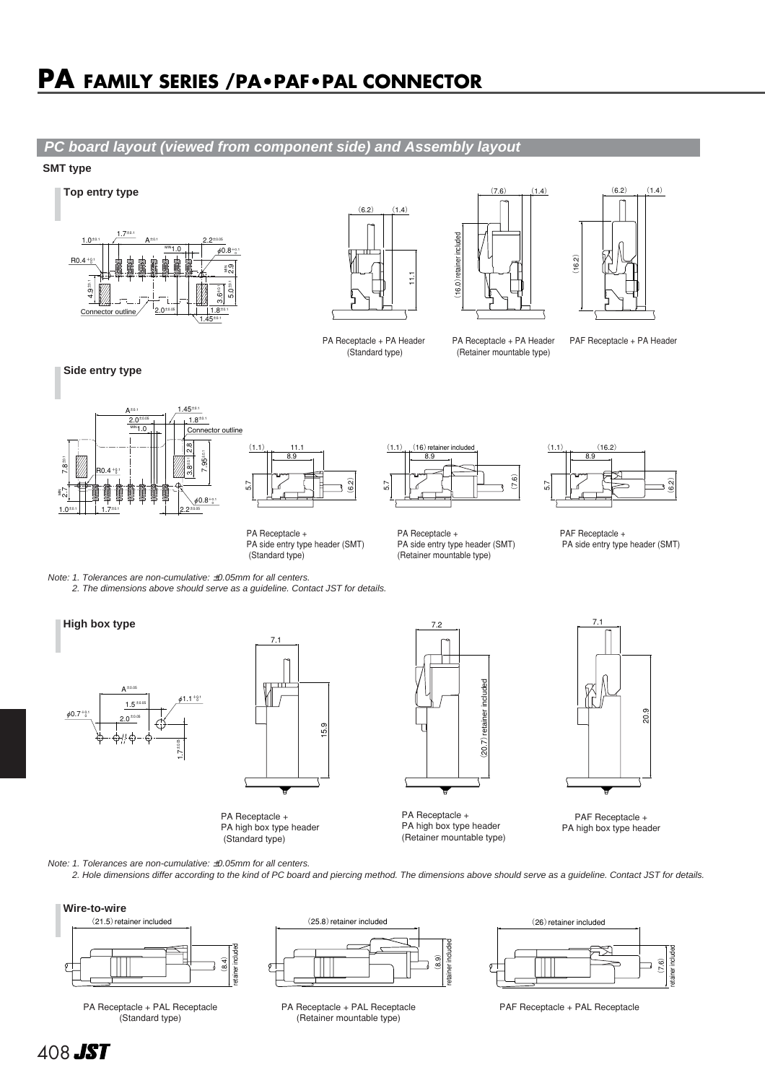## **PA FAMILY SERIES /PA•PAF•PAL CONNECTOR**

## **PC board layout (viewed from component side) and Assembly layout**

### **SMT type**





PA Receptacle + PA Header (Standard type)



(Retainer mountable type)

 $(6.2)$   $(1.4)$ (16.2)

PA Receptacle + PA Header PAF Receptacle + PA Header



**Top entry type**







8.9  $(1.1)$   $(16.2)$ 6.2) 5.7

PA Receptacle + PA side entry type header (SMT) (Standard type)





Note: 1. Tolerances are non-cumulative: ±0.05mm for all centers.

2. The dimensions above should serve as a guideline. Contact JST for details.





PA Receptacle + PA high box type header (Standard type)



PA Receptacle + PA high box type header (Retainer mountable type)



PAF Receptacle + PA high box type header

Note: 1. Tolerances are non-cumulative: ±0.05mm for all centers. 2. Hole dimensions differ according to the kind of PC board and piercing method. The dimensions above should serve as a guideline. Contact JST for details.



PA Receptacle + PAL Receptacle .<br>(Standard type)



PA Receptacle + PAL Receptacle PAF Receptacle + PAL Receptacle (Retainer mountable type)



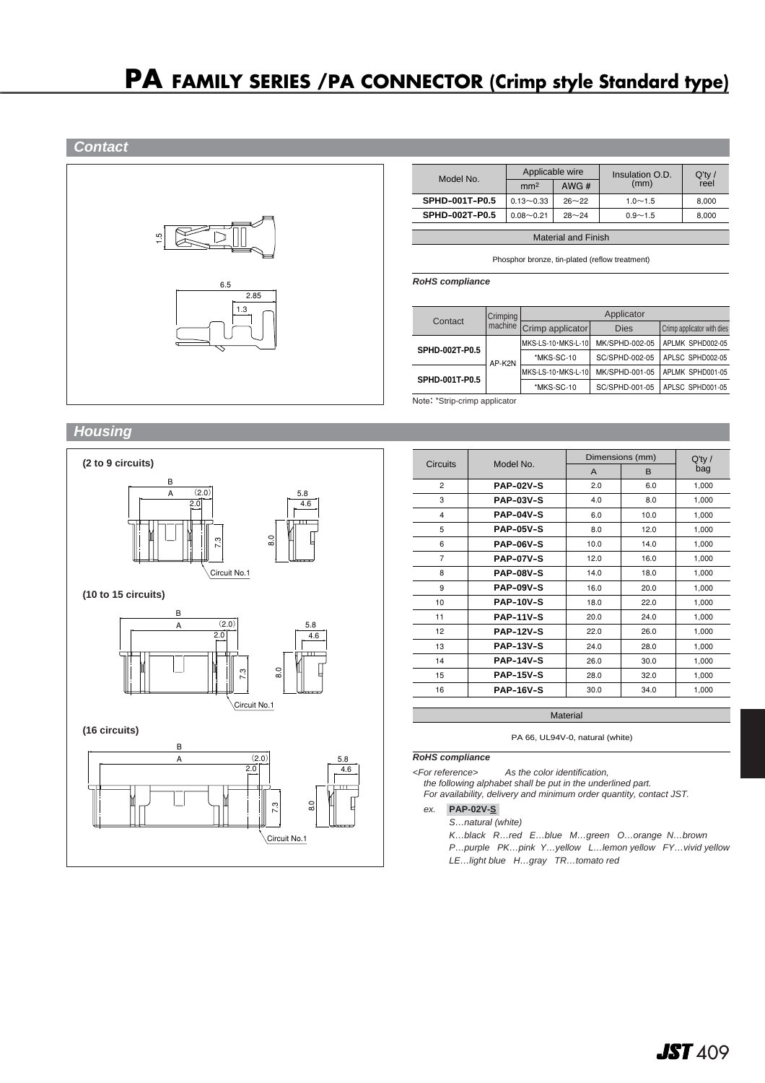**Contact**



| Model No.             | Applicable wire |           | Insulation O.D. | $Q'$ ty / |  |
|-----------------------|-----------------|-----------|-----------------|-----------|--|
|                       | mm <sup>2</sup> | AWG $#$   | (mm)            | reel      |  |
| <b>SPHD-001T-P0.5</b> | $0.13 - 0.33$   | $26 - 22$ | $1.0 - 1.5$     | 8.000     |  |
| SPHD-002T-P0.5        | $0.08 - 0.21$   | $28 - 24$ | $0.9 - 1.5$     | 8,000     |  |
|                       |                 |           |                 |           |  |

Material and Finish

Phosphor bronze, tin-plated (reflow treatment)

**RoHS compliance**

|                | Contact | Crimping         | Applicator         |                            |                  |  |
|----------------|---------|------------------|--------------------|----------------------------|------------------|--|
|                | machine | Crimp applicator | <b>Dies</b>        | Crimp applicator with dies |                  |  |
|                |         |                  | MKS-LS-10·MKS-L-10 | MK/SPHD-002-05             | APLMK SPHD002-05 |  |
| SPHD-002T-P0.5 | AP-K2N  | *MKS-SC-10       | SC/SPHD-002-05     | APLSC SPHD002-05           |                  |  |
| SPHD-001T-P0.5 |         |                  | MKS-LS-10·MKS-L-10 | MK/SPHD-001-05             | APLMK SPHD001-05 |  |
|                |         |                  | *MKS-SC-10         | SC/SPHD-001-05             | APLSC SPHD001-05 |  |

Note: \*Strip-crimp applicator

## **Housing**



| <b>Circuits</b>         | Model No.        |              | Dimensions (mm) | $Q'$ ty / |
|-------------------------|------------------|--------------|-----------------|-----------|
|                         |                  | $\mathsf{A}$ | B               | bag       |
| $\overline{2}$          | <b>PAP-02V-S</b> | 2.0          | 6.0             | 1,000     |
| 3                       | <b>PAP-03V-S</b> | 4.0          | 8.0             | 1,000     |
| $\overline{\mathbf{4}}$ | <b>PAP-04V-S</b> | 6.0          | 10.0            | 1,000     |
| 5                       | <b>PAP-05V-S</b> | 8.0          | 12.0            | 1,000     |
| 6                       | <b>PAP-06V-S</b> | 10.0         | 14.0            | 1,000     |
| $\overline{7}$          | <b>PAP-07V-S</b> | 12.0         | 16.0            | 1,000     |
| 8                       | <b>PAP-08V-S</b> | 14.0         | 18.0            | 1,000     |
| 9                       | <b>PAP-09V-S</b> | 16.0         | 20.0            | 1,000     |
| 10                      | <b>PAP-10V-S</b> | 18.0         | 22.0            | 1,000     |
| 11                      | <b>PAP-11V-S</b> | 20.0         | 24.0            | 1,000     |
| 12                      | <b>PAP-12V-S</b> | 22.0         | 26.0            | 1,000     |
| 13                      | <b>PAP-13V-S</b> | 24.0         | 28.0            | 1,000     |
| 14                      | <b>PAP-14V-S</b> | 26.0         | 30.0            | 1,000     |
| 15                      | <b>PAP-15V-S</b> | 28.0         | 32.0            | 1,000     |
| 16                      | <b>PAP-16V-S</b> | 30.0         | 34.0            | 1,000     |

**Material** 

PA 66, UL94V-0, natural (white)

#### **RoHS compliance**

<For reference> As the color identification,

the following alphabet shall be put in the underlined part.

For availability, delivery and minimum order quantity, contact JST.

ex. **PAP-02V-S-**

S…natural (white)

K…black R…red E…blue M…green O…orange N…brown

- P…purple PK…pink Y…yellow L…lemon yellow FY…vivid yellow
- LE…light blue H…gray TR…tomato red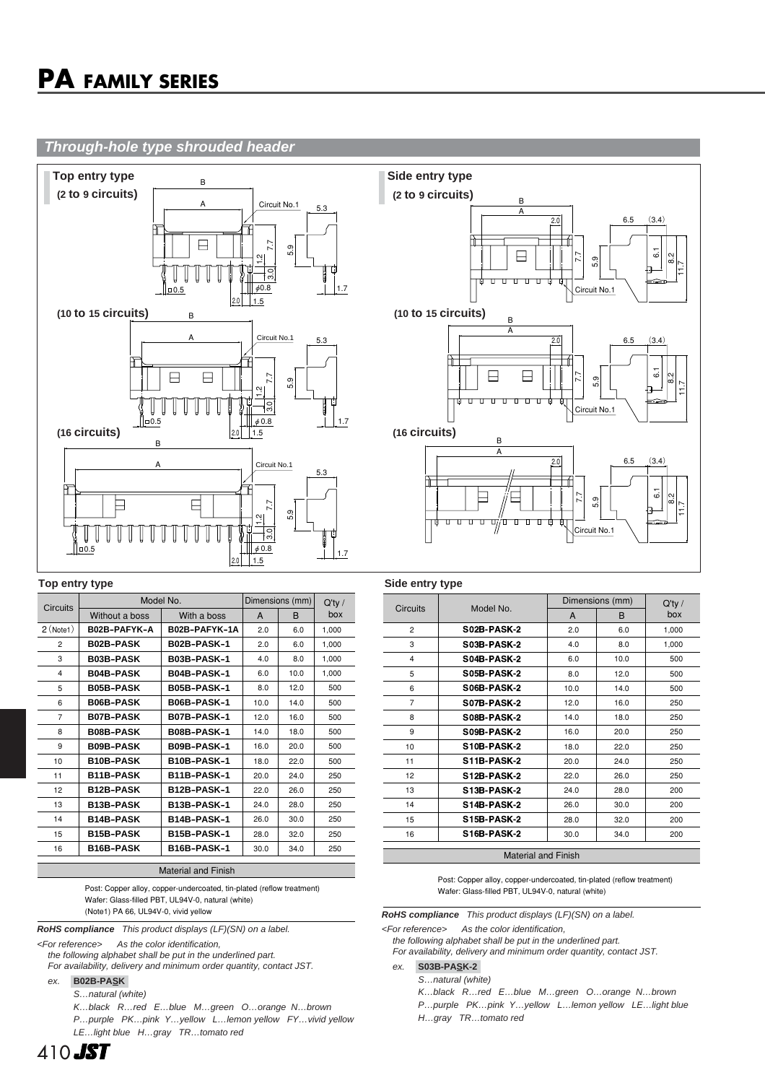### **Through-hole type shrouded header**



#### **Top entry type Side entry type**

|                 | Model No.        |                    | Dimensions (mm) | $Q'$ ty /    |       |
|-----------------|------------------|--------------------|-----------------|--------------|-------|
| <b>Circuits</b> | Without a boss   | With a boss        | A               | <sub>B</sub> | box   |
| $2$ (Note 1)    | B02B-PAFYK-A     | B02B-PAFYK-1A      | 2.0             | 6.0          | 1,000 |
| $\overline{2}$  | <b>B02B-PASK</b> | B02B-PASK-1        | 2.0             | 6.0          | 1,000 |
| 3               | <b>B03B-PASK</b> | <b>B03B-PASK-1</b> | 4.0             | 8.0          | 1,000 |
| 4               | <b>B04B-PASK</b> | B04B-PASK-1        | 6.0             | 10.0         | 1.000 |
| 5               | <b>B05B-PASK</b> | B05B-PASK-1        | 8.0             | 12.0         | 500   |
| 6               | <b>B06B-PASK</b> | <b>B06B-PASK-1</b> | 10.0            | 14.0         | 500   |
| $\overline{7}$  | <b>B07B-PASK</b> | B07B-PASK-1        | 12.0            | 16.0         | 500   |
| 8               | <b>B08B-PASK</b> | B08B-PASK-1        | 14.0            | 18.0         | 500   |
| 9               | <b>B09B-PASK</b> | B09B-PASK-1        | 16.0            | 20.0         | 500   |
| 10              | <b>B10B-PASK</b> | B10B-PASK-1        | 18.0            | 22.0         | 500   |
| 11              | <b>B11B-PASK</b> | B11B-PASK-1        | 20.0            | 24.0         | 250   |
| 12              | <b>B12B-PASK</b> | B12B-PASK-1        | 22.0            | 26.0         | 250   |
| 13              | <b>B13B-PASK</b> | B13B-PASK-1        | 24.0            | 28.0         | 250   |
| 14              | <b>B14B-PASK</b> | B14B-PASK-1        | 26.0            | 30.0         | 250   |
| 15              | <b>B15B-PASK</b> | B15B-PASK-1        | 28.0            | 32.0         | 250   |
| 16              | <b>B16B-PASK</b> | B16B-PASK-1        | 30.0            | 34.0         | 250   |

#### Material and Finish

Post: Copper alloy, copper-undercoated, tin-plated (reflow treatment) Wafer: Glass-filled PBT, UL94V-0, natural (white) (Note1) PA 66, UL94V-0, vivid yellow

**RoHS compliance** This product displays (LF)(SN) on a label.

<For reference> As the color identification,

the following alphabet shall be put in the underlined part. For availability, delivery and minimum order quantity, contact JST.

#### ex. **B02B-PASK-**

S…natural (white)

K…black R…red E…blue M…green O…orange N…brown P…purple PK…pink Y…yellow L…lemon yellow FY…vivid yellow LE…light blue H…gray TR…tomato red



|                            |                    |      | Dimensions (mm) | $Q'$ ty / |  |  |
|----------------------------|--------------------|------|-----------------|-----------|--|--|
| <b>Circuits</b>            | Model No.          | A    | B               | box       |  |  |
| $\overline{2}$             | S02B-PASK-2        | 2.0  | 6.0             | 1,000     |  |  |
| 3                          | S03B-PASK-2        | 4.0  | 8.0             | 1,000     |  |  |
| $\overline{\mathbf{4}}$    | S04B-PASK-2        | 6.0  | 10.0            | 500       |  |  |
| 5                          | <b>S05B-PASK-2</b> | 8.0  | 12.0            | 500       |  |  |
| 6                          | S06B-PASK-2        | 10.0 | 14.0            | 500       |  |  |
| $\overline{7}$             | S07B-PASK-2        | 12.0 | 16.0            | 250       |  |  |
| 8                          | <b>S08B-PASK-2</b> | 14.0 | 18.0            | 250       |  |  |
| 9                          | S09B-PASK-2        | 16.0 | 20.0            | 250       |  |  |
| 10                         | S10B-PASK-2        | 18.0 | 22.0            | 250       |  |  |
| 11                         | S11B-PASK-2        | 20.0 | 24.0            | 250       |  |  |
| 12                         | S12B-PASK-2        | 22.0 | 26.0            | 250       |  |  |
| 13                         | <b>S13B-PASK-2</b> | 24.0 | 28.0            | 200       |  |  |
| 14                         | S14B-PASK-2        | 26.0 | 30.0            | 200       |  |  |
| 15                         | S15B-PASK-2        | 28.0 | 32.0            | 200       |  |  |
| 16                         | S16B-PASK-2        | 30.0 | 34.0            | 200       |  |  |
|                            |                    |      |                 |           |  |  |
| <b>Material and Finish</b> |                    |      |                 |           |  |  |

#### Post: Copper alloy, copper-undercoated, tin-plated (reflow treatment) Wafer: Glass-filled PBT, UL94V-0, natural (white)

**RoHS compliance** This product displays (LF)(SN) on a label.

<For reference> As the color identification,

the following alphabet shall be put in the underlined part.

For availability, delivery and minimum order quantity, contact JST.

## ex. **S03B-PASK-2-**

S…natural (white)

K…black R…red E…blue M…green O…orange N…brown

- P…purple PK…pink Y…yellow L…lemon yellow LE…light blue
- H…gray TR…tomato red

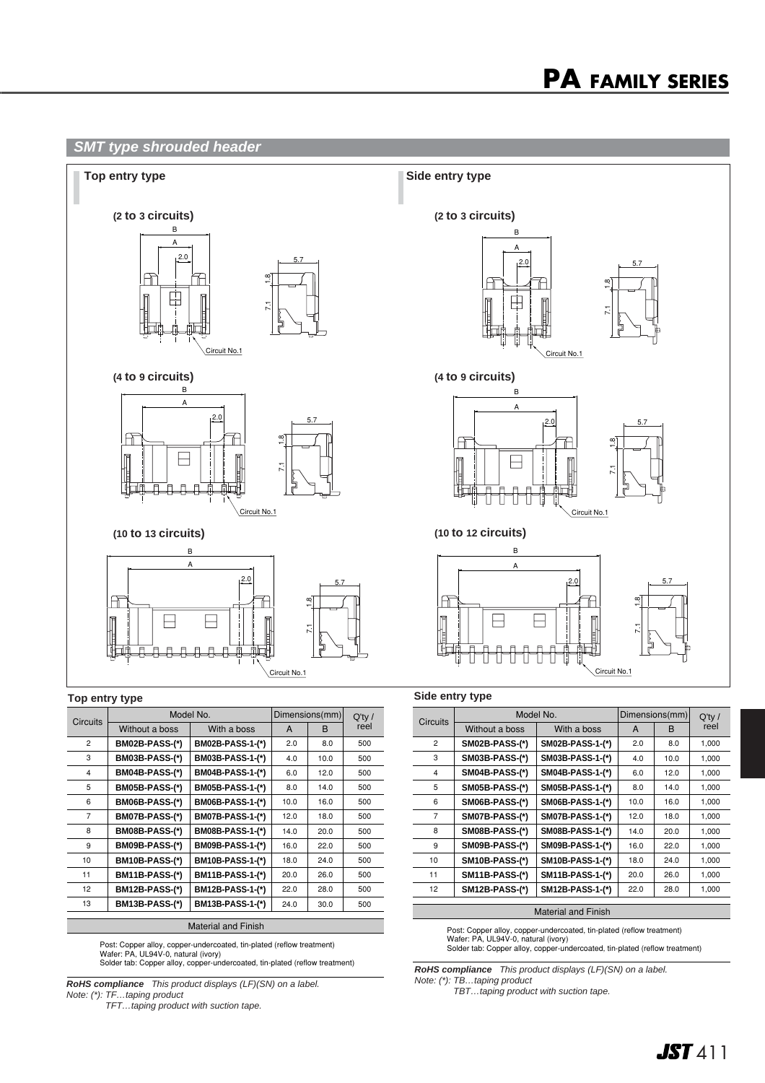## **SMT type shrouded header**



| <b>Circuits</b> | Model No.             |                         | Dimensions(mm) | $Q'$ ty / |      |
|-----------------|-----------------------|-------------------------|----------------|-----------|------|
|                 | Without a boss        | With a boss             | A              | B         | reel |
| $\overline{2}$  | <b>BM02B-PASS-(*)</b> | BM02B-PASS-1-(*)        | 2.0            | 8.0       | 500  |
| 3               | <b>BM03B-PASS-(*)</b> | BM03B-PASS-1-(*)        | 4.0            | 10.0      | 500  |
| 4               | <b>BM04B-PASS-(*)</b> | <b>BM04B-PASS-1-(*)</b> | 6.0            | 12.0      | 500  |
| 5               | <b>BM05B-PASS-(*)</b> | BM05B-PASS-1-(*)        | 8.0            | 14.0      | 500  |
| 6               | BM06B-PASS-(*)        | <b>BM06B-PASS-1-(*)</b> | 10.0           | 16.0      | 500  |
| $\overline{7}$  | BM07B-PASS-(*)        | <b>BM07B-PASS-1-(*)</b> | 12.0           | 18.0      | 500  |
| 8               | BM08B-PASS-(*)        | <b>BM08B-PASS-1-(*)</b> | 14.0           | 20.0      | 500  |
| 9               | <b>BM09B-PASS-(*)</b> | BM09B-PASS-1-(*)        | 16.0           | 22.0      | 500  |
| 10              | <b>BM10B-PASS-(*)</b> | BM10B-PASS-1-(*)        | 18.0           | 24.0      | 500  |
| 11              | <b>BM11B-PASS-(*)</b> | BM11B-PASS-1-(*)        | 20.0           | 26.0      | 500  |
| 12 <sup>2</sup> | <b>BM12B-PASS-(*)</b> | BM12B-PASS-1-(*)        | 22.0           | 28.0      | 500  |
| 13              | <b>BM13B-PASS-(*)</b> | BM13B-PASS-1-(*)        | 24.0           | 30.0      | 500  |
|                 |                       |                         |                |           |      |

Material and Finish

Post: Copper alloy, copper-undercoated, tin-plated (reflow treatment) Wafer: PA, UL94V-0, natural (ivory) Solder tab: Copper alloy, copper-undercoated, tin-plated (reflow treatment)

**RoHS compliance** This product displays (LF)(SN) on a label. Note: (\*): TF…taping product

TFT…taping product with suction tape.

| Circuits       | Model No.             |                  | Dimensions(mm) | $Q'$ ty / |       |
|----------------|-----------------------|------------------|----------------|-----------|-------|
|                | Without a boss        | With a boss      | A              | B         | reel  |
| $\overline{2}$ | <b>SM02B-PASS-(*)</b> | SM02B-PASS-1-(*) | 2.0            | 8.0       | 1,000 |
| 3              | <b>SM03B-PASS-(*)</b> | SM03B-PASS-1-(*) | 4.0            | 10.0      | 1,000 |
| 4              | <b>SM04B-PASS-(*)</b> | SM04B-PASS-1-(*) | 6.0            | 12.0      | 1,000 |
| 5              | <b>SM05B-PASS-(*)</b> | SM05B-PASS-1-(*) | 8.0            | 14.0      | 1,000 |
| 6              | <b>SM06B-PASS-(*)</b> | SM06B-PASS-1-(*) | 10.0           | 16.0      | 1,000 |
| $\overline{7}$ | <b>SM07B-PASS-(*)</b> | SM07B-PASS-1-(*) | 12.0           | 18.0      | 1,000 |
| 8              | <b>SM08B-PASS-(*)</b> | SM08B-PASS-1-(*) | 14.0           | 20.0      | 1,000 |
| 9              | <b>SM09B-PASS-(*)</b> | SM09B-PASS-1-(*) | 16.0           | 22.0      | 1,000 |
| 10             | <b>SM10B-PASS-(*)</b> | SM10B-PASS-1-(*) | 18.0           | 24.0      | 1,000 |
| 11             | <b>SM11B-PASS-(*)</b> | SM11B-PASS-1-(*) | 20.0           | 26.0      | 1,000 |
| 12             | <b>SM12B-PASS-(*)</b> | SM12B-PASS-1-(*) | 22.0           | 28.0      | 1,000 |

#### Material and Finish

Post: Copper alloy, copper-undercoated, tin-plated (reflow treatment) Wafer: PA, UL94V-0, natural (ivory) Solder tab: Copper alloy, copper-undercoated, tin-plated (reflow treatment)

**RoHS compliance** This product displays (LF)(SN) on a label.

Note: (\*): TB…taping product

TBT…taping product with suction tape.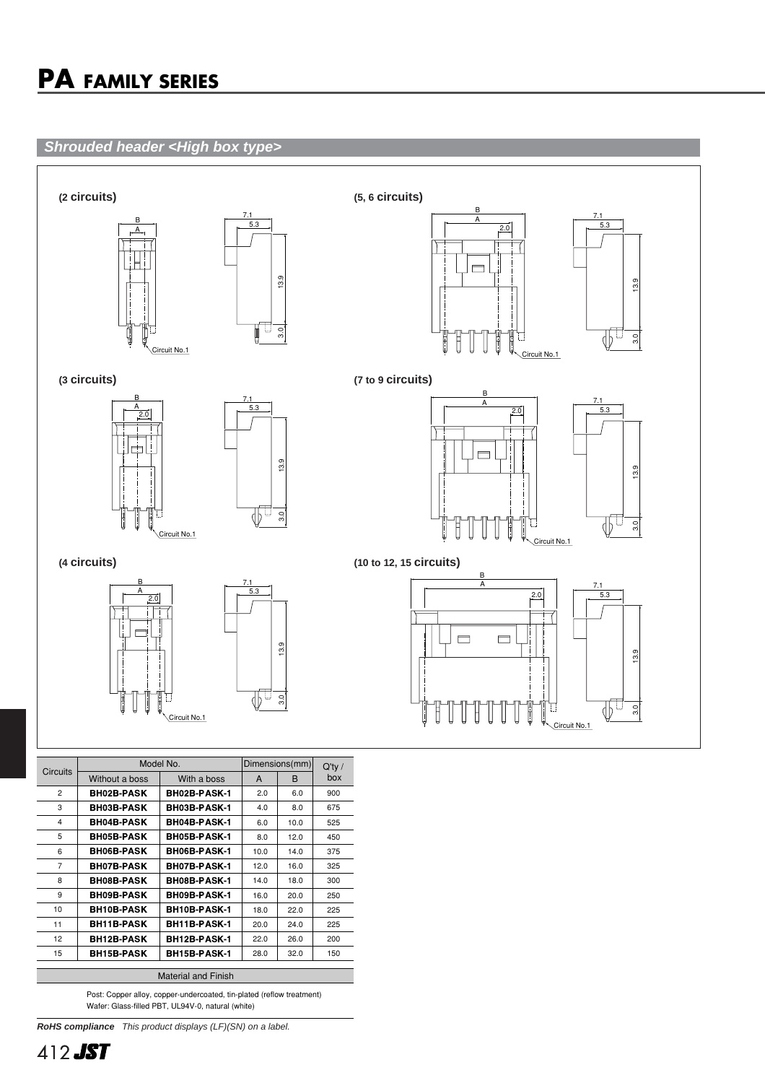## **Shrouded header <High box type>**



|                            | Model No.         |                     | Dimensions(mm) |      | $Q'$ ty / |  |  |
|----------------------------|-------------------|---------------------|----------------|------|-----------|--|--|
| <b>Circuits</b>            | Without a boss    | With a boss         | A              | B    | box       |  |  |
| $\overline{2}$             | <b>BH02B-PASK</b> | BH02B-PASK-1        | 2.0            | 6.0  | 900       |  |  |
| 3                          | <b>BH03B-PASK</b> | BH03B-PASK-1        | 4.0            | 8.0  | 675       |  |  |
| 4                          | <b>BH04B-PASK</b> | BH04B-PASK-1        | 6.0            | 10.0 | 525       |  |  |
| 5                          | <b>BH05B-PASK</b> | BH05B-PASK-1        | 8.0            | 12.0 | 450       |  |  |
| 6                          | <b>BH06B-PASK</b> | <b>BH06B-PASK-1</b> | 10.0           | 14.0 | 375       |  |  |
| $\overline{7}$             | <b>BH07B-PASK</b> | BH07B-PASK-1        | 12.0           | 16.0 | 325       |  |  |
| 8                          | <b>BH08B-PASK</b> | BH08B-PASK-1        | 14.0           | 18.0 | 300       |  |  |
| 9                          | <b>BH09B-PASK</b> | BH09B-PASK-1        | 16.0           | 20.0 | 250       |  |  |
| 10                         | <b>BH10B-PASK</b> | BH10B-PASK-1        | 18.0           | 22.0 | 225       |  |  |
| 11                         | <b>BH11B-PASK</b> | BH11B-PASK-1        | 20.0           | 24.0 | 225       |  |  |
| 12                         | <b>BH12B-PASK</b> | <b>BH12B-PASK-1</b> | 22.0           | 26.0 | 200       |  |  |
| 15                         | <b>BH15B-PASK</b> | BH15B-PASK-1        | 28.0           | 32.0 | 150       |  |  |
|                            |                   |                     |                |      |           |  |  |
| <b>Material and Finish</b> |                   |                     |                |      |           |  |  |

Post: Copper alloy, copper-undercoated, tin-plated (reflow treatment) Wafer: Glass-filled PBT, UL94V-0, natural (white)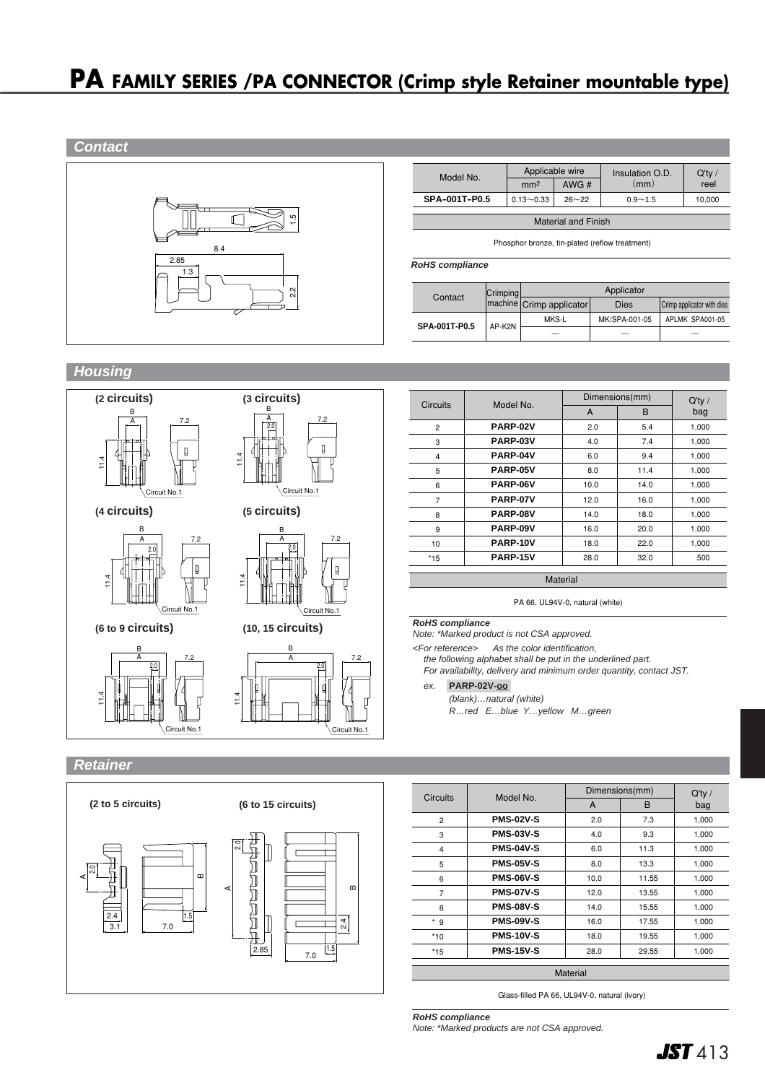## **PA FAMILY SERIES /PA CONNECTOR (Crimp style Retainer mountable type)**



| Model No.           | Applicable wire            |      | Insulation O.D. | $Q'$ ty / |  |  |  |
|---------------------|----------------------------|------|-----------------|-----------|--|--|--|
|                     | mm <sup>2</sup>            | AWG# | (mm)            | reel      |  |  |  |
| SPA-001T-P0.5       | $0.13 - 0.33$<br>$26 - 22$ |      | $0.9 - 1.5$     | 10.000    |  |  |  |
|                     |                            |      |                 |           |  |  |  |
| Matorial and Einich |                            |      |                 |           |  |  |  |

Phosphor bronze, tin-plated (reflow treatment)

| Crimping<br>Contact |        |                            | Applicator    |                            |
|---------------------|--------|----------------------------|---------------|----------------------------|
|                     |        | (machine Crimp applicator) | <b>Dies</b>   | Crimp applicator with dies |
|                     | AP-K2N | MKS-L                      | MK/SPA-001-05 | APLMK SPA001-05            |
| SPA-001T-P0.5       |        |                            |               |                            |

**Housing**



Circuit No.1

| Circuits       | Model No. | Dimensions(mm) | $Q'$ ty / |       |
|----------------|-----------|----------------|-----------|-------|
|                |           | A              | B         | bag   |
| $\overline{c}$ | PARP-02V  | 2.0            | 5.4       | 1,000 |
| 3              | PARP-03V  | 4.0            | 7.4       | 1,000 |
| 4              | PARP-04V  | 6.0            | 9.4       | 1,000 |
| 5              | PARP-05V  | 8.0            | 11.4      | 1,000 |
| 6              | PARP-06V  | 10.0           | 14.0      | 1,000 |
| 7              | PARP-07V  | 12.0           | 16.0      | 1,000 |
| 8              | PARP-08V  | 14.0           | 18.0      | 1,000 |
| 9              | PARP-09V  | 16.0           | 20.0      | 1,000 |
| 10             | PARP-10V  | 18.0           | 22.0      | 1,000 |
| $*15$          | PARP-15V  | 28.0           | 32.0      | 500   |

Material

PA 66, UL94V-0, natural (white)

#### **RoHS compliance**

7.2

Circuit No.1

Note: \*Marked product is not CSA approved.

<For reference> As the color identification, the following alphabet shall be put in the underlined part.

For availability, delivery and minimum order quantity, contact JST. ex. **PARP-02V-oo-**

(blank)…natural (white) R…red E…blue Y…yellow M…green

## **Retainer**



| <b>Circuits</b> | Model No.        | Dimensions(mm) | Q'tv/ |       |  |
|-----------------|------------------|----------------|-------|-------|--|
|                 |                  | A              | B     | bag   |  |
| $\overline{2}$  | <b>PMS-02V-S</b> | 2.0            | 7.3   | 1,000 |  |
| 3               | <b>PMS-03V-S</b> | 4.0            | 9.3   | 1,000 |  |
| 4               | <b>PMS-04V-S</b> | 6.0            | 11.3  | 1,000 |  |
| 5               | <b>PMS-05V-S</b> | 8.0            | 13.3  | 1,000 |  |
| 6               | <b>PMS-06V-S</b> | 10.0           | 11.55 | 1,000 |  |
| $\overline{7}$  | <b>PMS-07V-S</b> | 12.0           | 13.55 | 1,000 |  |
| 8               | <b>PMS-08V-S</b> | 14.0           | 15.55 | 1,000 |  |
| * 9             | <b>PMS-09V-S</b> | 16.0           | 17.55 | 1,000 |  |
| $*10$           | <b>PMS-10V-S</b> | 18.0           | 19.55 | 1,000 |  |
| *15             | <b>PMS-15V-S</b> | 28.0           | 29.55 | 1,000 |  |
| Material        |                  |                |       |       |  |

Glass-filled PA 66, UL94V-0, natural (ivory)

**RoHS compliance** Note: \*Marked products are not CSA approved.

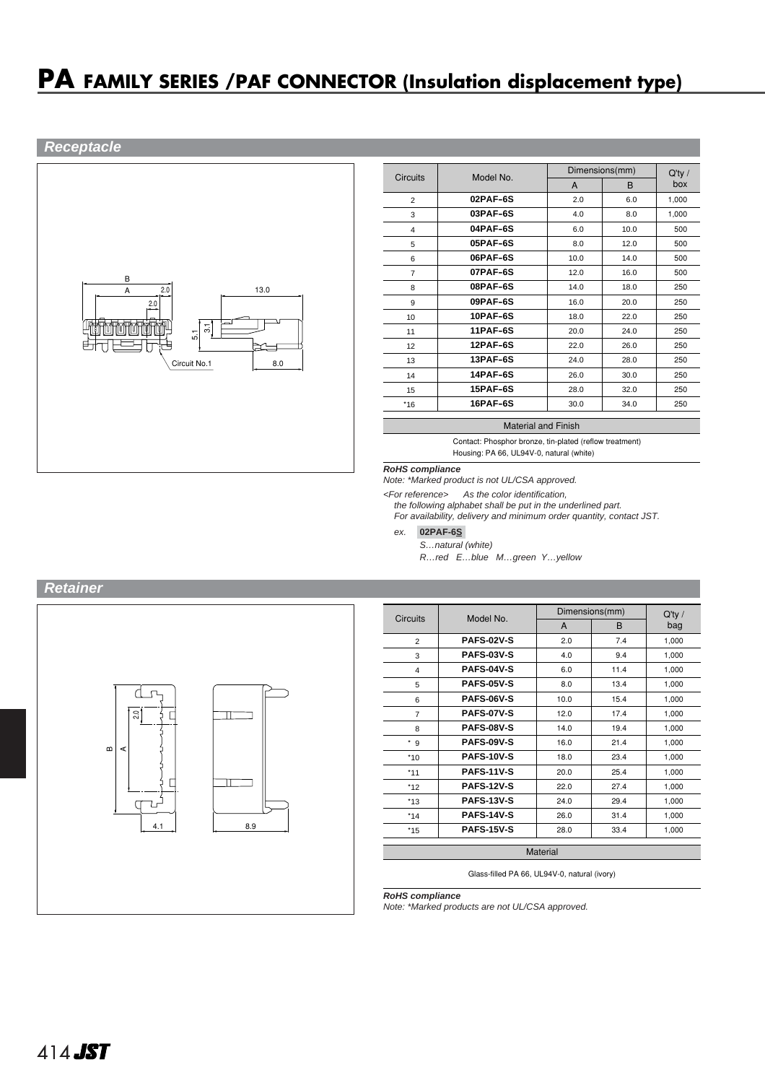## **PA FAMILY SERIES /PAF CONNECTOR (Insulation displacement type)**

## **Receptacle**



|                 | Model No.   |      | Dimensions(mm) |                  |  |
|-----------------|-------------|------|----------------|------------------|--|
| <b>Circuits</b> |             | A    | B              | $Q'$ ty /<br>box |  |
| $\overline{2}$  | 02PAF-6S    | 2.0  | 6.0            | 1.000            |  |
| 3               | $03$ PAF-6S | 4.0  | 8.0            | 1.000            |  |
| 4               | 04PAF-6S    | 6.0  | 10.0           | 500              |  |
| 5               | 05PAF-6S    | 8.0  | 12.0           | 500              |  |
| 6               | $06$ PAF-6S | 10.0 | 14.0           | 500              |  |
| $\overline{7}$  | 07PAF-6S    | 12.0 | 16.0           | 500              |  |
| 8               | 08PAF-6S    | 14.0 | 18.0           | 250              |  |
| 9               | $09$ PAF-6S | 16.0 | 20.0           | 250              |  |
| 10              | 10PAF-6S    | 18.0 | 22.0           | 250              |  |
| 11              | 11PAF-6S    | 20.0 | 24.0           | 250              |  |
| 12              | 12PAF-6S    | 22.0 | 26.0           | 250              |  |
| 13              | 13PAF-6S    | 24.0 | 28.0           | 250              |  |
| 14              | 14PAF-6S    | 26.0 | 30.0           | 250              |  |
| 15              | 15PAF-6S    | 28.0 | 32.0           | 250              |  |
| $*16$           | 16PAF-6S    | 30.0 | 34.0           | 250              |  |

#### Material and Finish

Contact: Phosphor bronze, tin-plated (reflow treatment) Housing: PA 66, UL94V-0, natural (white)

#### **RoHS compliance**

Note: \*Marked product is not UL/CSA approved.

<For reference> As the color identification, the following alphabet shall be put in the underlined part.

For availability, delivery and minimum order quantity, contact JST.

ex. **02PAF-6S-**

S…natural (white)

R…red E…blue M…green Y…yellow



| <b>Circuits</b> | Model No.         |      | Dimensions(mm) |       |  |  |
|-----------------|-------------------|------|----------------|-------|--|--|
|                 |                   | A    | B              | bag   |  |  |
| $\overline{2}$  | <b>PAFS-02V-S</b> | 2.0  | 7.4            | 1,000 |  |  |
| 3               | <b>PAFS-03V-S</b> | 4.0  | 9.4            | 1,000 |  |  |
| 4               | PAFS-04V-S        | 6.0  | 11.4           | 1,000 |  |  |
| 5               | <b>PAFS-05V-S</b> | 8.0  | 13.4           | 1,000 |  |  |
| 6               | <b>PAFS-06V-S</b> | 10.0 | 15.4           | 1,000 |  |  |
| 7               | <b>PAFS-07V-S</b> | 12.0 | 17.4           | 1,000 |  |  |
| 8               | <b>PAFS-08V-S</b> | 14.0 | 19.4           | 1,000 |  |  |
| * 9             | <b>PAFS-09V-S</b> | 16.0 | 21.4           | 1,000 |  |  |
| $*10$           | <b>PAFS-10V-S</b> | 18.0 | 23.4           | 1,000 |  |  |
| $*11$           | <b>PAFS-11V-S</b> | 20.0 | 25.4           | 1,000 |  |  |
| $*12$           | <b>PAFS-12V-S</b> | 22.0 | 27.4           | 1,000 |  |  |
| $*13$           | <b>PAFS-13V-S</b> | 24.0 | 29.4           | 1,000 |  |  |
| $*14$           | <b>PAFS-14V-S</b> | 26.0 | 31.4           | 1,000 |  |  |
| $*15$           | <b>PAFS-15V-S</b> | 28.0 | 33.4           | 1.000 |  |  |
|                 |                   |      |                |       |  |  |
| Material        |                   |      |                |       |  |  |

Glass-filled PA 66, UL94V-0, natural (ivory)

**RoHS compliance**

Note: \*Marked products are not UL/CSA approved.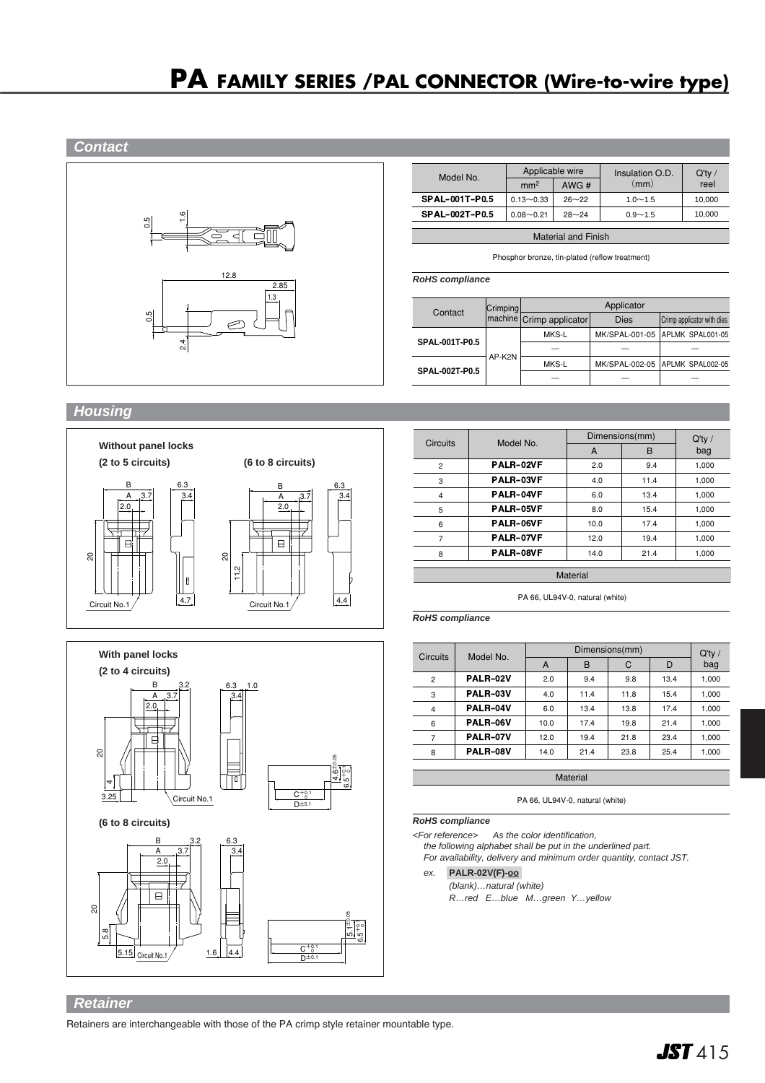

| Model No.             | Applicable wire |           | Insulation O.D. | $Q'$ ty / |  |
|-----------------------|-----------------|-----------|-----------------|-----------|--|
|                       | mm <sup>2</sup> | AWG#      | (mm)            | reel      |  |
| <b>SPAL-001T-P0.5</b> | $0.13 - 0.33$   | $26 - 22$ | $1.0 - 1.5$     | 10,000    |  |
| <b>SPAL-002T-P0.5</b> | $0.08 - 0.21$   | $28 - 24$ | $0.9 - 1.5$     | 10,000    |  |
|                       |                 |           |                 |           |  |

Material and Finish

Phosphor bronze, tin-plated (reflow treatment)

**RoHS compliance**

| Contact               | Crimping | Applicator               |                |                                 |  |
|-----------------------|----------|--------------------------|----------------|---------------------------------|--|
|                       |          | machine Crimp applicator | <b>Dies</b>    | Crimp applicator with dies      |  |
|                       |          | MKS-L                    | MK/SPAL-001-05 | APLMK SPAL001-05                |  |
| <b>SPAL-001T-P0.5</b> |          |                          |                |                                 |  |
| <b>SPAL-002T-P0.5</b> | AP-K2N   | MKS-L                    |                | MK/SPAL-002-05 APLMK SPAL002-05 |  |
|                       |          |                          |                |                                 |  |

## **Housing**





|                 |           | Dimensions(mm) | $Q'$ ty / |       |
|-----------------|-----------|----------------|-----------|-------|
| <b>Circuits</b> | Model No. | A              | B         | bag   |
| $\overline{2}$  | PALR-02VF | 2.0            | 9.4       | 1,000 |
| 3               | PALR-03VF | 4.0            | 11.4      | 1,000 |
| $\overline{4}$  | PALR-04VF | 6.0            | 13.4      | 1,000 |
| 5               | PALR-05VF | 8.0            | 15.4      | 1,000 |
| 6               | PALR-06VF | 10.0           | 17.4      | 1,000 |
| 7               | PALR-07VF | 12.0           | 19.4      | 1,000 |
| 8               | PALR-08VF | 14.0           | 21.4      | 1,000 |
|                 |           | Material       |           |       |

PA 66, UL94V-0, natural (white)

**RoHS compliance**

| Model No. |      | $Q'$ ty / |      |                |       |
|-----------|------|-----------|------|----------------|-------|
|           | A    | в         | C    | D              | bag   |
| PALR-02V  | 2.0  | 9.4       | 9.8  | 13.4           | 1,000 |
| PALR-03V  | 4.0  | 11.4      | 11.8 | 15.4           | 1,000 |
| PALR-04V  | 6.0  | 13.4      | 13.8 | 17.4           | 1,000 |
| PALR-06V  | 10.0 | 17.4      | 19.8 | 21.4           | 1,000 |
| PALR-07V  | 12.0 | 19.4      | 21.8 | 23.4           | 1,000 |
| PALR-08V  | 14.0 | 21.4      | 23.8 | 25.4           | 1,000 |
|           |      |           |      | Dimensions(mm) |       |

**Material** 

PA 66, UL94V-0, natural (white)

#### **RoHS compliance**

<For reference> As the color identification, the following alphabet shall be put in the underlined part.

For availability, delivery and minimum order quantity, contact JST.

## ex. **PALR-02V(F)-oo-**

(blank)…natural (white) R…red E…blue M…green Y…yellow

### **Retainer**

Retainers are interchangeable with those of the PA crimp style retainer mountable type.